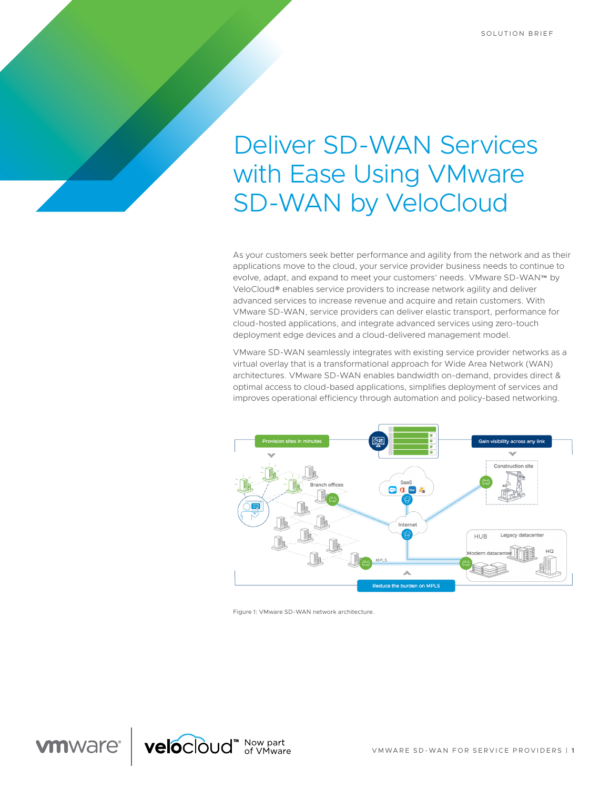# Deliver SD-WAN Services with Ease Using VMware SD-WAN by VeloCloud

As your customers seek better performance and agility from the network and as their applications move to the cloud, your service provider business needs to continue to evolve, adapt, and expand to meet your customers' needs. VMware SD-WAN™ by VeloCloud® enables service providers to increase network agility and deliver advanced services to increase revenue and acquire and retain customers. With VMware SD-WAN, service providers can deliver elastic transport, performance for cloud-hosted applications, and integrate advanced services using zero-touch deployment edge devices and a cloud-delivered management model.

VMware SD-WAN seamlessly integrates with existing service provider networks as a virtual overlay that is a transformational approach for Wide Area Network (WAN) architectures. VMware SD-WAN enables bandwidth on-demand, provides direct & optimal access to cloud-based applications, simplifies deployment of services and improves operational efficiency through automation and policy-based networking.



Figure 1: VMware SD-WAN network architecture.

**vm**ware<sup>®</sup> velocloud<sup>"</sup> Now part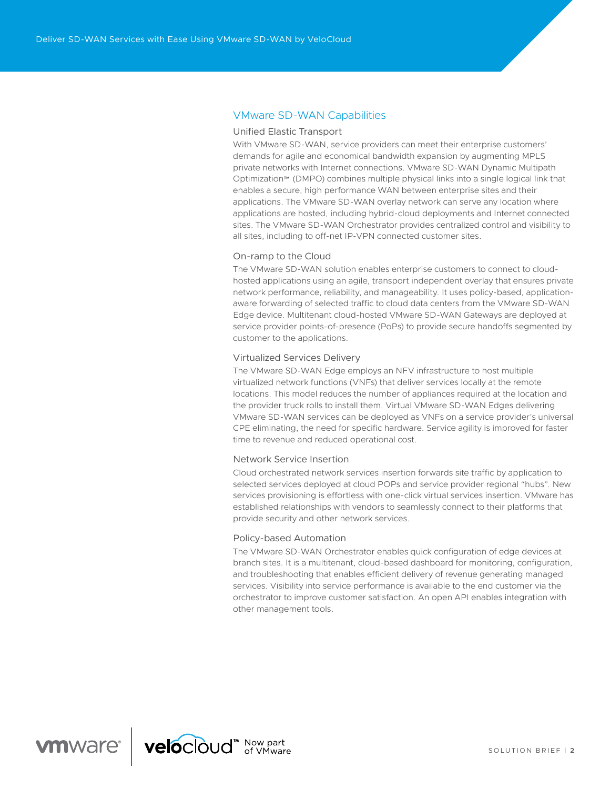# VMware SD-WAN Capabilities

### Unified Elastic Transport

With VMware SD-WAN, service providers can meet their enterprise customers' demands for agile and economical bandwidth expansion by augmenting MPLS private networks with Internet connections. VMware SD-WAN Dynamic Multipath Optimization™ (DMPO) combines multiple physical links into a single logical link that enables a secure, high performance WAN between enterprise sites and their applications. The VMware SD-WAN overlay network can serve any location where applications are hosted, including hybrid-cloud deployments and Internet connected sites. The VMware SD-WAN Orchestrator provides centralized control and visibility to all sites, including to off-net IP-VPN connected customer sites.

#### On-ramp to the Cloud

The VMware SD-WAN solution enables enterprise customers to connect to cloudhosted applications using an agile, transport independent overlay that ensures private network performance, reliability, and manageability. It uses policy-based, applicationaware forwarding of selected traffic to cloud data centers from the VMware SD-WAN Edge device. Multitenant cloud-hosted VMware SD-WAN Gateways are deployed at service provider points-of-presence (PoPs) to provide secure handoffs segmented by customer to the applications.

#### Virtualized Services Delivery

The VMware SD-WAN Edge employs an NFV infrastructure to host multiple virtualized network functions (VNFs) that deliver services locally at the remote locations. This model reduces the number of appliances required at the location and the provider truck rolls to install them. Virtual VMware SD-WAN Edges delivering VMware SD-WAN services can be deployed as VNFs on a service provider's universal CPE eliminating, the need for specific hardware. Service agility is improved for faster time to revenue and reduced operational cost.

### Network Service Insertion

Cloud orchestrated network services insertion forwards site traffic by application to selected services deployed at cloud POPs and service provider regional "hubs". New services provisioning is effortless with one-click virtual services insertion. VMware has established relationships with vendors to seamlessly connect to their platforms that provide security and other network services.

#### Policy-based Automation

The VMware SD-WAN Orchestrator enables quick configuration of edge devices at branch sites. It is a multitenant, cloud-based dashboard for monitoring, configuration, and troubleshooting that enables efficient delivery of revenue generating managed services. Visibility into service performance is available to the end customer via the orchestrator to improve customer satisfaction. An open API enables integration with other management tools.